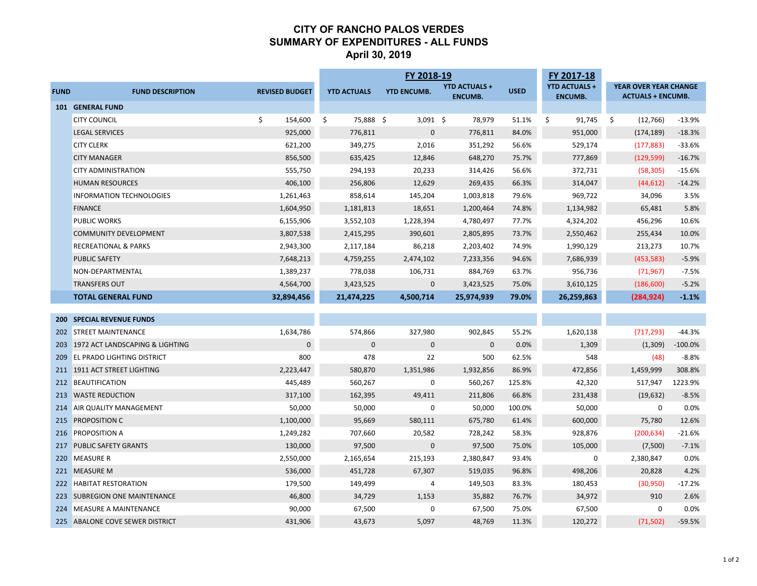## **CITY OF RANCHO PALOS VERDES SUMMARY OF EXPENDITURES - ALL FUNDS April 30, 2019**

| YEAR OVER YEAR CHANGE<br><b>YTD ACTUALS +</b><br><b>YTD ACTUALS +</b><br><b>YTD ENCUMB.</b><br><b>USED</b><br><b>FUND</b><br><b>REVISED BUDGET</b><br><b>YTD ACTUALS</b><br><b>FUND DESCRIPTION</b><br><b>ENCUMB.</b><br><b>ENCUMB.</b><br><b>ACTUALS + ENCUMB.</b><br>101 GENERAL FUND<br>\$<br>154,600<br>75,888 \$<br>$3,091$ \$<br>91,745<br>$-13.9%$<br><b>CITY COUNCIL</b><br>\$<br>78,979<br>51.1%<br>\$<br>\$<br>(12,766)<br>925,000<br>$\mathsf{O}\xspace$<br>84.0%<br><b>LEGAL SERVICES</b><br>776,811<br>776,811<br>951,000<br>(174, 189)<br>$-18.3%$<br>349,275<br>56.6%<br>$-33.6%$<br><b>CITY CLERK</b><br>621,200<br>2,016<br>351,292<br>529,174<br>(177, 883)<br>856,500<br>635,425<br>75.7%<br>777,869<br>$-16.7%$<br><b>CITY MANAGER</b><br>12,846<br>648,270<br>(129, 599)<br>555,750<br>294,193<br>20,233<br>56.6%<br>372,731<br>$-15.6%$<br><b>CITY ADMINISTRATION</b><br>314,426<br>(58, 305)<br>406,100<br>256,806<br>66.3%<br>314,047<br>$-14.2%$<br><b>HUMAN RESOURCES</b><br>12,629<br>269,435<br>(44, 612)<br>3.5%<br><b>INFORMATION TECHNOLOGIES</b><br>1,261,463<br>858,614<br>145,204<br>1,003,818<br>79.6%<br>969,722<br>34,096<br>5.8%<br><b>FINANCE</b><br>1,604,950<br>1,181,813<br>74.8%<br>1,134,982<br>65,481<br>18,651<br>1,200,464<br>10.6%<br><b>PUBLIC WORKS</b><br>6,155,906<br>3,552,103<br>1,228,394<br>4,780,497<br>77.7%<br>4,324,202<br>456,296<br>3,807,538<br>73.7%<br>COMMUNITY DEVELOPMENT<br>2,415,295<br>390,601<br>2,805,895<br>2,550,462<br>255,434<br>10.0%<br>2,943,300<br>74.9%<br>10.7%<br><b>RECREATIONAL &amp; PARKS</b><br>2,117,184<br>86,218<br>2,203,402<br>1,990,129<br>213,273<br>7,648,213<br>94.6%<br>7,686,939<br>$-5.9%$<br>PUBLIC SAFETY<br>4,759,255<br>2,474,102<br>7,233,356<br>(453, 583)<br>1,389,237<br>778,038<br>63.7%<br>956,736<br>$-7.5%$<br>NON-DEPARTMENTAL<br>106,731<br>884,769<br>(71, 967)<br>4,564,700<br>3,423,525<br>3,610,125<br>$-5.2%$<br><b>TRANSFERS OUT</b><br>3,423,525<br>$\mathbf{0}$<br>75.0%<br>(186, 600)<br><b>TOTAL GENERAL FUND</b><br>32,894,456<br>21,474,225<br>4,500,714<br>25,974,939<br>79.0%<br>26,259,863<br>(284, 924)<br>$-1.1%$ | FY 2017-18 | FY 2018-19 |  |  |  |
|-------------------------------------------------------------------------------------------------------------------------------------------------------------------------------------------------------------------------------------------------------------------------------------------------------------------------------------------------------------------------------------------------------------------------------------------------------------------------------------------------------------------------------------------------------------------------------------------------------------------------------------------------------------------------------------------------------------------------------------------------------------------------------------------------------------------------------------------------------------------------------------------------------------------------------------------------------------------------------------------------------------------------------------------------------------------------------------------------------------------------------------------------------------------------------------------------------------------------------------------------------------------------------------------------------------------------------------------------------------------------------------------------------------------------------------------------------------------------------------------------------------------------------------------------------------------------------------------------------------------------------------------------------------------------------------------------------------------------------------------------------------------------------------------------------------------------------------------------------------------------------------------------------------------------------------------------------------------------------------------------------------------------------------------------------------------------------------------------------------------------------------------------------|------------|------------|--|--|--|
|                                                                                                                                                                                                                                                                                                                                                                                                                                                                                                                                                                                                                                                                                                                                                                                                                                                                                                                                                                                                                                                                                                                                                                                                                                                                                                                                                                                                                                                                                                                                                                                                                                                                                                                                                                                                                                                                                                                                                                                                                                                                                                                                                       |            |            |  |  |  |
|                                                                                                                                                                                                                                                                                                                                                                                                                                                                                                                                                                                                                                                                                                                                                                                                                                                                                                                                                                                                                                                                                                                                                                                                                                                                                                                                                                                                                                                                                                                                                                                                                                                                                                                                                                                                                                                                                                                                                                                                                                                                                                                                                       |            |            |  |  |  |
|                                                                                                                                                                                                                                                                                                                                                                                                                                                                                                                                                                                                                                                                                                                                                                                                                                                                                                                                                                                                                                                                                                                                                                                                                                                                                                                                                                                                                                                                                                                                                                                                                                                                                                                                                                                                                                                                                                                                                                                                                                                                                                                                                       |            |            |  |  |  |
|                                                                                                                                                                                                                                                                                                                                                                                                                                                                                                                                                                                                                                                                                                                                                                                                                                                                                                                                                                                                                                                                                                                                                                                                                                                                                                                                                                                                                                                                                                                                                                                                                                                                                                                                                                                                                                                                                                                                                                                                                                                                                                                                                       |            |            |  |  |  |
|                                                                                                                                                                                                                                                                                                                                                                                                                                                                                                                                                                                                                                                                                                                                                                                                                                                                                                                                                                                                                                                                                                                                                                                                                                                                                                                                                                                                                                                                                                                                                                                                                                                                                                                                                                                                                                                                                                                                                                                                                                                                                                                                                       |            |            |  |  |  |
|                                                                                                                                                                                                                                                                                                                                                                                                                                                                                                                                                                                                                                                                                                                                                                                                                                                                                                                                                                                                                                                                                                                                                                                                                                                                                                                                                                                                                                                                                                                                                                                                                                                                                                                                                                                                                                                                                                                                                                                                                                                                                                                                                       |            |            |  |  |  |
|                                                                                                                                                                                                                                                                                                                                                                                                                                                                                                                                                                                                                                                                                                                                                                                                                                                                                                                                                                                                                                                                                                                                                                                                                                                                                                                                                                                                                                                                                                                                                                                                                                                                                                                                                                                                                                                                                                                                                                                                                                                                                                                                                       |            |            |  |  |  |
|                                                                                                                                                                                                                                                                                                                                                                                                                                                                                                                                                                                                                                                                                                                                                                                                                                                                                                                                                                                                                                                                                                                                                                                                                                                                                                                                                                                                                                                                                                                                                                                                                                                                                                                                                                                                                                                                                                                                                                                                                                                                                                                                                       |            |            |  |  |  |
|                                                                                                                                                                                                                                                                                                                                                                                                                                                                                                                                                                                                                                                                                                                                                                                                                                                                                                                                                                                                                                                                                                                                                                                                                                                                                                                                                                                                                                                                                                                                                                                                                                                                                                                                                                                                                                                                                                                                                                                                                                                                                                                                                       |            |            |  |  |  |
|                                                                                                                                                                                                                                                                                                                                                                                                                                                                                                                                                                                                                                                                                                                                                                                                                                                                                                                                                                                                                                                                                                                                                                                                                                                                                                                                                                                                                                                                                                                                                                                                                                                                                                                                                                                                                                                                                                                                                                                                                                                                                                                                                       |            |            |  |  |  |
|                                                                                                                                                                                                                                                                                                                                                                                                                                                                                                                                                                                                                                                                                                                                                                                                                                                                                                                                                                                                                                                                                                                                                                                                                                                                                                                                                                                                                                                                                                                                                                                                                                                                                                                                                                                                                                                                                                                                                                                                                                                                                                                                                       |            |            |  |  |  |
|                                                                                                                                                                                                                                                                                                                                                                                                                                                                                                                                                                                                                                                                                                                                                                                                                                                                                                                                                                                                                                                                                                                                                                                                                                                                                                                                                                                                                                                                                                                                                                                                                                                                                                                                                                                                                                                                                                                                                                                                                                                                                                                                                       |            |            |  |  |  |
|                                                                                                                                                                                                                                                                                                                                                                                                                                                                                                                                                                                                                                                                                                                                                                                                                                                                                                                                                                                                                                                                                                                                                                                                                                                                                                                                                                                                                                                                                                                                                                                                                                                                                                                                                                                                                                                                                                                                                                                                                                                                                                                                                       |            |            |  |  |  |
|                                                                                                                                                                                                                                                                                                                                                                                                                                                                                                                                                                                                                                                                                                                                                                                                                                                                                                                                                                                                                                                                                                                                                                                                                                                                                                                                                                                                                                                                                                                                                                                                                                                                                                                                                                                                                                                                                                                                                                                                                                                                                                                                                       |            |            |  |  |  |
|                                                                                                                                                                                                                                                                                                                                                                                                                                                                                                                                                                                                                                                                                                                                                                                                                                                                                                                                                                                                                                                                                                                                                                                                                                                                                                                                                                                                                                                                                                                                                                                                                                                                                                                                                                                                                                                                                                                                                                                                                                                                                                                                                       |            |            |  |  |  |
|                                                                                                                                                                                                                                                                                                                                                                                                                                                                                                                                                                                                                                                                                                                                                                                                                                                                                                                                                                                                                                                                                                                                                                                                                                                                                                                                                                                                                                                                                                                                                                                                                                                                                                                                                                                                                                                                                                                                                                                                                                                                                                                                                       |            |            |  |  |  |
|                                                                                                                                                                                                                                                                                                                                                                                                                                                                                                                                                                                                                                                                                                                                                                                                                                                                                                                                                                                                                                                                                                                                                                                                                                                                                                                                                                                                                                                                                                                                                                                                                                                                                                                                                                                                                                                                                                                                                                                                                                                                                                                                                       |            |            |  |  |  |
|                                                                                                                                                                                                                                                                                                                                                                                                                                                                                                                                                                                                                                                                                                                                                                                                                                                                                                                                                                                                                                                                                                                                                                                                                                                                                                                                                                                                                                                                                                                                                                                                                                                                                                                                                                                                                                                                                                                                                                                                                                                                                                                                                       |            |            |  |  |  |
| <b>SPECIAL REVENUE FUNDS</b><br>200                                                                                                                                                                                                                                                                                                                                                                                                                                                                                                                                                                                                                                                                                                                                                                                                                                                                                                                                                                                                                                                                                                                                                                                                                                                                                                                                                                                                                                                                                                                                                                                                                                                                                                                                                                                                                                                                                                                                                                                                                                                                                                                   |            |            |  |  |  |
| 202 STREET MAINTENANCE<br>1,634,786<br>574,866<br>327,980<br>902,845<br>55.2%<br>1,620,138<br>(717, 293)<br>$-44.3%$                                                                                                                                                                                                                                                                                                                                                                                                                                                                                                                                                                                                                                                                                                                                                                                                                                                                                                                                                                                                                                                                                                                                                                                                                                                                                                                                                                                                                                                                                                                                                                                                                                                                                                                                                                                                                                                                                                                                                                                                                                  |            |            |  |  |  |
| $\mathbf 0$<br>0.0%<br>1972 ACT LANDSCAPING & LIGHTING<br>$\mathbf 0$<br>$\mathbf 0$<br>$\mathbf 0$<br>1,309<br>(1,309)<br>$-100.0%$<br>203                                                                                                                                                                                                                                                                                                                                                                                                                                                                                                                                                                                                                                                                                                                                                                                                                                                                                                                                                                                                                                                                                                                                                                                                                                                                                                                                                                                                                                                                                                                                                                                                                                                                                                                                                                                                                                                                                                                                                                                                           |            |            |  |  |  |
| 800<br>478<br>22<br>548<br>$-8.8%$<br><b>EL PRADO LIGHTING DISTRICT</b><br>500<br>62.5%<br>(48)<br>209                                                                                                                                                                                                                                                                                                                                                                                                                                                                                                                                                                                                                                                                                                                                                                                                                                                                                                                                                                                                                                                                                                                                                                                                                                                                                                                                                                                                                                                                                                                                                                                                                                                                                                                                                                                                                                                                                                                                                                                                                                                |            |            |  |  |  |
| 2,223,447<br>86.9%<br>472,856<br>1,459,999<br>211 1911 ACT STREET LIGHTING<br>580,870<br>1,351,986<br>1,932,856<br>308.8%                                                                                                                                                                                                                                                                                                                                                                                                                                                                                                                                                                                                                                                                                                                                                                                                                                                                                                                                                                                                                                                                                                                                                                                                                                                                                                                                                                                                                                                                                                                                                                                                                                                                                                                                                                                                                                                                                                                                                                                                                             |            |            |  |  |  |
| 212 BEAUTIFICATION<br>445,489<br>560,267<br>0<br>560,267<br>125.8%<br>42,320<br>517,947<br>1223.9%                                                                                                                                                                                                                                                                                                                                                                                                                                                                                                                                                                                                                                                                                                                                                                                                                                                                                                                                                                                                                                                                                                                                                                                                                                                                                                                                                                                                                                                                                                                                                                                                                                                                                                                                                                                                                                                                                                                                                                                                                                                    |            |            |  |  |  |
| 66.8%<br>213 WASTE REDUCTION<br>317,100<br>162,395<br>49,411<br>211,806<br>231,438<br>$-8.5%$<br>(19, 632)                                                                                                                                                                                                                                                                                                                                                                                                                                                                                                                                                                                                                                                                                                                                                                                                                                                                                                                                                                                                                                                                                                                                                                                                                                                                                                                                                                                                                                                                                                                                                                                                                                                                                                                                                                                                                                                                                                                                                                                                                                            |            |            |  |  |  |
| 0.0%<br>AIR QUALITY MANAGEMENT<br>50,000<br>50,000<br>0<br>50,000<br>100.0%<br>50,000<br>$\mathbf 0$<br>214                                                                                                                                                                                                                                                                                                                                                                                                                                                                                                                                                                                                                                                                                                                                                                                                                                                                                                                                                                                                                                                                                                                                                                                                                                                                                                                                                                                                                                                                                                                                                                                                                                                                                                                                                                                                                                                                                                                                                                                                                                           |            |            |  |  |  |
| <b>PROPOSITION C</b><br>1,100,000<br>95,669<br>580,111<br>675,780<br>61.4%<br>600,000<br>75,780<br>12.6%<br>215                                                                                                                                                                                                                                                                                                                                                                                                                                                                                                                                                                                                                                                                                                                                                                                                                                                                                                                                                                                                                                                                                                                                                                                                                                                                                                                                                                                                                                                                                                                                                                                                                                                                                                                                                                                                                                                                                                                                                                                                                                       |            |            |  |  |  |
| $-21.6%$<br><b>PROPOSITION A</b><br>1,249,282<br>707,660<br>20,582<br>728,242<br>58.3%<br>928,876<br>(200, 634)<br>216                                                                                                                                                                                                                                                                                                                                                                                                                                                                                                                                                                                                                                                                                                                                                                                                                                                                                                                                                                                                                                                                                                                                                                                                                                                                                                                                                                                                                                                                                                                                                                                                                                                                                                                                                                                                                                                                                                                                                                                                                                |            |            |  |  |  |
| 130,000<br>97,500<br>75.0%<br>105,000<br><b>PUBLIC SAFETY GRANTS</b><br>$\mathbf{0}$<br>97,500<br>(7,500)<br>$-7.1%$<br>217                                                                                                                                                                                                                                                                                                                                                                                                                                                                                                                                                                                                                                                                                                                                                                                                                                                                                                                                                                                                                                                                                                                                                                                                                                                                                                                                                                                                                                                                                                                                                                                                                                                                                                                                                                                                                                                                                                                                                                                                                           |            |            |  |  |  |
| <b>MEASURE R</b><br>2,550,000<br>2,380,847<br>2,380,847<br>0.0%<br>220<br>2,165,654<br>215,193<br>93.4%<br>0                                                                                                                                                                                                                                                                                                                                                                                                                                                                                                                                                                                                                                                                                                                                                                                                                                                                                                                                                                                                                                                                                                                                                                                                                                                                                                                                                                                                                                                                                                                                                                                                                                                                                                                                                                                                                                                                                                                                                                                                                                          |            |            |  |  |  |
| 536,000<br>451,728<br>96.8%<br>498,206<br>20,828<br>221 MEASURE M<br>67,307<br>519,035<br>4.2%                                                                                                                                                                                                                                                                                                                                                                                                                                                                                                                                                                                                                                                                                                                                                                                                                                                                                                                                                                                                                                                                                                                                                                                                                                                                                                                                                                                                                                                                                                                                                                                                                                                                                                                                                                                                                                                                                                                                                                                                                                                        |            |            |  |  |  |
| <b>HABITAT RESTORATION</b><br>179,500<br>149,499<br>149,503<br>83.3%<br>180,453<br>(30, 950)<br>$-17.2%$<br>222<br>4                                                                                                                                                                                                                                                                                                                                                                                                                                                                                                                                                                                                                                                                                                                                                                                                                                                                                                                                                                                                                                                                                                                                                                                                                                                                                                                                                                                                                                                                                                                                                                                                                                                                                                                                                                                                                                                                                                                                                                                                                                  |            |            |  |  |  |
| 46,800<br>76.7%<br>34,972<br>223 SUBREGION ONE MAINTENANCE<br>34,729<br>1,153<br>910<br>2.6%<br>35,882                                                                                                                                                                                                                                                                                                                                                                                                                                                                                                                                                                                                                                                                                                                                                                                                                                                                                                                                                                                                                                                                                                                                                                                                                                                                                                                                                                                                                                                                                                                                                                                                                                                                                                                                                                                                                                                                                                                                                                                                                                                |            |            |  |  |  |
| 0.0%<br>MEASURE A MAINTENANCE<br>90,000<br>67,500<br>0<br>67,500<br>75.0%<br>67,500<br>224<br>0                                                                                                                                                                                                                                                                                                                                                                                                                                                                                                                                                                                                                                                                                                                                                                                                                                                                                                                                                                                                                                                                                                                                                                                                                                                                                                                                                                                                                                                                                                                                                                                                                                                                                                                                                                                                                                                                                                                                                                                                                                                       |            |            |  |  |  |
| 225 ABALONE COVE SEWER DISTRICT<br>431,906<br>43,673<br>5,097<br>48,769<br>11.3%<br>120,272<br>(71, 502)<br>$-59.5%$                                                                                                                                                                                                                                                                                                                                                                                                                                                                                                                                                                                                                                                                                                                                                                                                                                                                                                                                                                                                                                                                                                                                                                                                                                                                                                                                                                                                                                                                                                                                                                                                                                                                                                                                                                                                                                                                                                                                                                                                                                  |            |            |  |  |  |